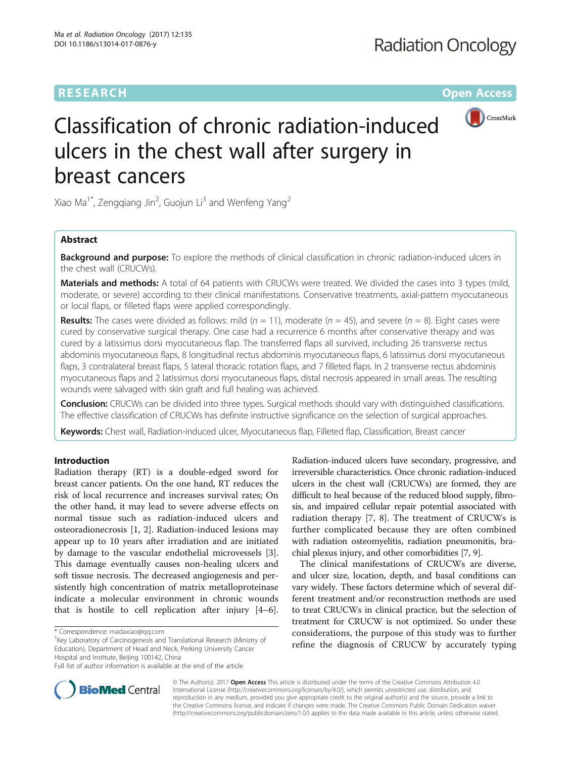## **RESEARCH CHEAR CHEAR CHEAR CHEAR CHEAR CHEAR CHEAR CHEAR CHEAR CHEAR CHEAR CHEAR CHEAR CHEAR CHEAR CHEAR CHEAR**



# Classification of chronic radiation-induced ulcers in the chest wall after surgery in breast cancers

Xiao Ma $^1*$ , Zengqiang Jin<sup>2</sup>, Guojun Li $^3$  and Wenfeng Yang<sup>2</sup>

## Abstract

Background and purpose: To explore the methods of clinical classification in chronic radiation-induced ulcers in the chest wall (CRUCWs).

Materials and methods: A total of 64 patients with CRUCWs were treated. We divided the cases into 3 types (mild, moderate, or severe) according to their clinical manifestations. Conservative treatments, axial-pattern myocutaneous or local flaps, or filleted flaps were applied correspondingly.

**Results:** The cases were divided as follows: mild ( $n = 11$ ), moderate ( $n = 45$ ), and severe ( $n = 8$ ). Eight cases were cured by conservative surgical therapy. One case had a recurrence 6 months after conservative therapy and was cured by a latissimus dorsi myocutaneous flap. The transferred flaps all survived, including 26 transverse rectus abdominis myocutaneous flaps, 8 longitudinal rectus abdominis myocutaneous flaps, 6 latissimus dorsi myocutaneous flaps, 3 contralateral breast flaps, 5 lateral thoracic rotation flaps, and 7 filleted flaps. In 2 transverse rectus abdominis myocutaneous flaps and 2 latissimus dorsi myocutaneous flaps, distal necrosis appeared in small areas. The resulting wounds were salvaged with skin graft and full healing was achieved.

**Conclusion:** CRUCWs can be divided into three types. Surgical methods should vary with distinguished classifications. The effective classification of CRUCWs has definite instructive significance on the selection of surgical approaches.

Keywords: Chest wall, Radiation-induced ulcer, Myocutaneous flap, Filleted flap, Classification, Breast cancer

## Introduction

Radiation therapy (RT) is a double-edged sword for breast cancer patients. On the one hand, RT reduces the risk of local recurrence and increases survival rates; On the other hand, it may lead to severe adverse effects on normal tissue such as radiation-induced ulcers and osteoradionecrosis [\[1](#page-5-0), [2\]](#page-5-0). Radiation-induced lesions may appear up to 10 years after irradiation and are initiated by damage to the vascular endothelial microvessels [\[3](#page-5-0)]. This damage eventually causes non-healing ulcers and soft tissue necrosis. The decreased angiogenesis and persistently high concentration of matrix metalloproteinase indicate a molecular environment in chronic wounds that is hostile to cell replication after injury [\[4](#page-5-0)–[6](#page-5-0)].

<sup>1</sup>Key Laboratory of Carcinogenesis and Translational Research (Ministry of Education), Department of Head and Neck, Perking University Cancer Hospital and Institute, Beijing 100142, China

Radiation-induced ulcers have secondary, progressive, and irreversible characteristics. Once chronic radiation-induced ulcers in the chest wall (CRUCWs) are formed, they are difficult to heal because of the reduced blood supply, fibrosis, and impaired cellular repair potential associated with radiation therapy [\[7](#page-5-0), [8\]](#page-5-0). The treatment of CRUCWs is further complicated because they are often combined with radiation osteomyelitis, radiation pneumonitis, brachial plexus injury, and other comorbidities [\[7, 9](#page-5-0)].

The clinical manifestations of CRUCWs are diverse, and ulcer size, location, depth, and basal conditions can vary widely. These factors determine which of several different treatment and/or reconstruction methods are used to treat CRUCWs in clinical practice, but the selection of treatment for CRUCW is not optimized. So under these considerations, the purpose of this study was to further refine the diagnosis of CRUCW by accurately typing



© The Author(s). 2017 **Open Access** This article is distributed under the terms of the Creative Commons Attribution 4.0 International License [\(http://creativecommons.org/licenses/by/4.0/](http://creativecommons.org/licenses/by/4.0/)), which permits unrestricted use, distribution, and reproduction in any medium, provided you give appropriate credit to the original author(s) and the source, provide a link to the Creative Commons license, and indicate if changes were made. The Creative Commons Public Domain Dedication waiver [\(http://creativecommons.org/publicdomain/zero/1.0/](http://creativecommons.org/publicdomain/zero/1.0/)) applies to the data made available in this article, unless otherwise stated.

<sup>\*</sup> Correspondence: [madaxiao@qq.com](mailto:madaxiao@qq.com) <sup>1</sup>

Full list of author information is available at the end of the article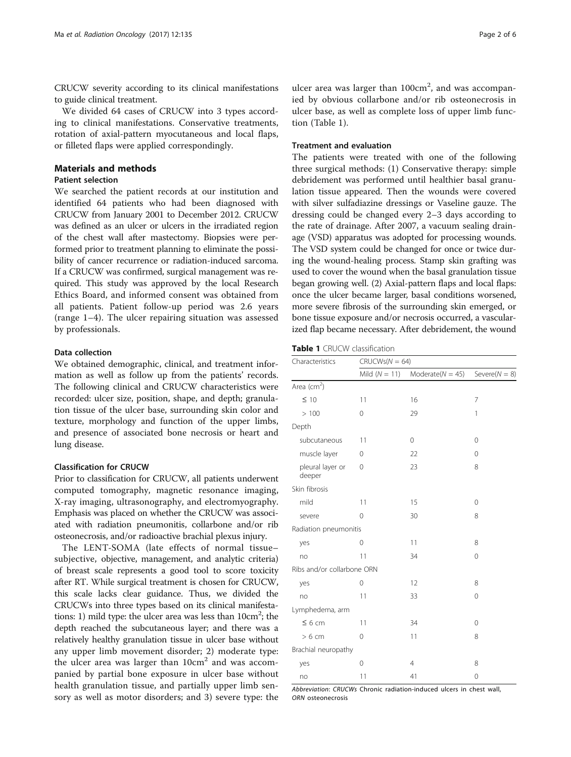CRUCW severity according to its clinical manifestations to guide clinical treatment.

We divided 64 cases of CRUCW into 3 types according to clinical manifestations. Conservative treatments, rotation of axial-pattern myocutaneous and local flaps, or filleted flaps were applied correspondingly.

## Materials and methods

## Patient selection

We searched the patient records at our institution and identified 64 patients who had been diagnosed with CRUCW from January 2001 to December 2012. CRUCW was defined as an ulcer or ulcers in the irradiated region of the chest wall after mastectomy. Biopsies were performed prior to treatment planning to eliminate the possibility of cancer recurrence or radiation-induced sarcoma. If a CRUCW was confirmed, surgical management was required. This study was approved by the local Research Ethics Board, and informed consent was obtained from all patients. Patient follow-up period was 2.6 years (range 1–4). The ulcer repairing situation was assessed by professionals.

## Data collection

We obtained demographic, clinical, and treatment information as well as follow up from the patients' records. The following clinical and CRUCW characteristics were recorded: ulcer size, position, shape, and depth; granulation tissue of the ulcer base, surrounding skin color and texture, morphology and function of the upper limbs, and presence of associated bone necrosis or heart and lung disease.

## Classification for CRUCW

Prior to classification for CRUCW, all patients underwent computed tomography, magnetic resonance imaging, X-ray imaging, ultrasonography, and electromyography. Emphasis was placed on whether the CRUCW was associated with radiation pneumonitis, collarbone and/or rib osteonecrosis, and/or radioactive brachial plexus injury.

The LENT-SOMA (late effects of normal tissue– subjective, objective, management, and analytic criteria) of breast scale represents a good tool to score toxicity after RT. While surgical treatment is chosen for CRUCW, this scale lacks clear guidance. Thus, we divided the CRUCWs into three types based on its clinical manifestations: 1) mild type: the ulcer area was less than  $10cm^2$ ; the depth reached the subcutaneous layer; and there was a relatively healthy granulation tissue in ulcer base without any upper limb movement disorder; 2) moderate type: the ulcer area was larger than  $10 \text{cm}^2$  and was accompanied by partial bone exposure in ulcer base without health granulation tissue, and partially upper limb sensory as well as motor disorders; and 3) severe type: the

ulcer area was larger than 100cm<sup>2</sup>, and was accompanied by obvious collarbone and/or rib osteonecrosis in ulcer base, as well as complete loss of upper limb function (Table 1).

## Treatment and evaluation

The patients were treated with one of the following three surgical methods: (1) Conservative therapy: simple debridement was performed until healthier basal granulation tissue appeared. Then the wounds were covered with silver sulfadiazine dressings or Vaseline gauze. The dressing could be changed every 2–3 days according to the rate of drainage. After 2007, a vacuum sealing drainage (VSD) apparatus was adopted for processing wounds. The VSD system could be changed for once or twice during the wound-healing process. Stamp skin grafting was used to cover the wound when the basal granulation tissue began growing well. (2) Axial-pattern flaps and local flaps: once the ulcer became larger, basal conditions worsened, more severe fibrosis of the surrounding skin emerged, or bone tissue exposure and/or necrosis occurred, a vascularized flap became necessary. After debridement, the wound

Table 1 CRUCW classification

| Characteristics            | $CRUCWs(N = 64)$ |                    |                   |  |  |
|----------------------------|------------------|--------------------|-------------------|--|--|
|                            | Mild $(N = 11)$  | $Modernet(N = 45)$ | Severe( $N = 8$ ) |  |  |
| Area ( $cm2$ )             |                  |                    |                   |  |  |
| $\leq 10$                  | 11               | 16                 | 7                 |  |  |
| >100                       | $\Omega$         | 29                 | 1                 |  |  |
| Depth                      |                  |                    |                   |  |  |
| subcutaneous               | 11               | 0                  | $\mathbf{0}$      |  |  |
| muscle layer               | 0                | 22                 | $\mathbf{0}$      |  |  |
| pleural layer or<br>deeper | $\Omega$         | 23                 | 8                 |  |  |
| Skin fibrosis              |                  |                    |                   |  |  |
| mild                       | 11               | 15                 | 0                 |  |  |
| severe                     | 0                | 30                 | 8                 |  |  |
| Radiation pneumonitis      |                  |                    |                   |  |  |
| yes                        | $\Omega$         | 11                 | 8                 |  |  |
| no                         | 11               | 34                 | $\Omega$          |  |  |
| Ribs and/or collarbone ORN |                  |                    |                   |  |  |
| yes                        | 0                | 12                 | 8                 |  |  |
| no                         | 11               | 33                 | 0                 |  |  |
| Lymphedema, arm            |                  |                    |                   |  |  |
| $\leq 6$ cm                | 11               | 34                 | $\Omega$          |  |  |
| $>6$ cm                    | $\Omega$         | 11                 | 8                 |  |  |
| Brachial neuropathy        |                  |                    |                   |  |  |
| yes                        | 0                | $\overline{4}$     | 8                 |  |  |
| no                         | 11               | 41                 | 0                 |  |  |

Abbreviation: CRUCWs Chronic radiation-induced ulcers in chest wall, ORN osteonecrosis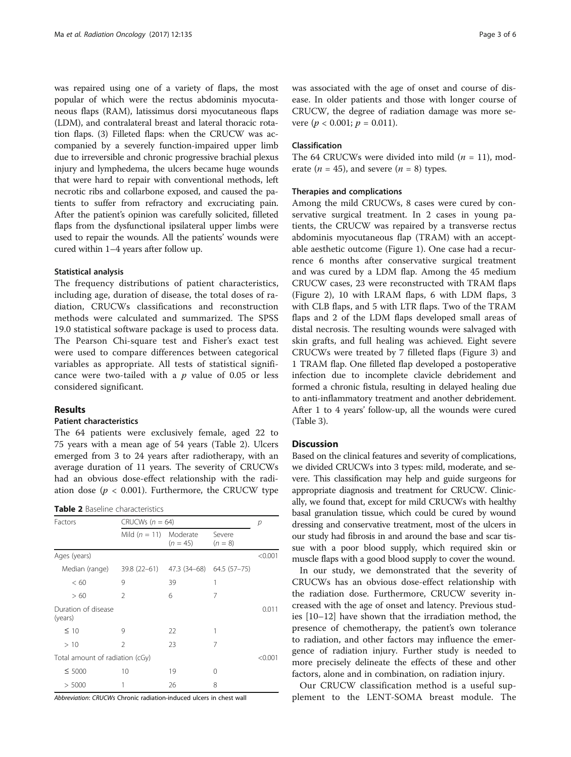was repaired using one of a variety of flaps, the most popular of which were the rectus abdominis myocutaneous flaps (RAM), latissimus dorsi myocutaneous flaps (LDM), and contralateral breast and lateral thoracic rotation flaps. (3) Filleted flaps: when the CRUCW was accompanied by a severely function-impaired upper limb due to irreversible and chronic progressive brachial plexus injury and lymphedema, the ulcers became huge wounds that were hard to repair with conventional methods, left necrotic ribs and collarbone exposed, and caused the patients to suffer from refractory and excruciating pain. After the patient's opinion was carefully solicited, filleted flaps from the dysfunctional ipsilateral upper limbs were used to repair the wounds. All the patients' wounds were cured within 1–4 years after follow up.

## Statistical analysis

The frequency distributions of patient characteristics, including age, duration of disease, the total doses of radiation, CRUCWs classifications and reconstruction methods were calculated and summarized. The SPSS 19.0 statistical software package is used to process data. The Pearson Chi-square test and Fisher's exact test were used to compare differences between categorical variables as appropriate. All tests of statistical significance were two-tailed with a  $p$  value of 0.05 or less considered significant.

## Results

#### Patient characteristics

The 64 patients were exclusively female, aged 22 to 75 years with a mean age of 54 years (Table 2). Ulcers emerged from 3 to 24 years after radiotherapy, with an average duration of 11 years. The severity of CRUCWs had an obvious dose-effect relationship with the radiation dose ( $p < 0.001$ ). Furthermore, the CRUCW type

| <b>Table 2</b> Baseline characteristics |
|-----------------------------------------|
|-----------------------------------------|

| Factors                         | CRUCWs $(n = 64)$         | р          |                     |         |
|---------------------------------|---------------------------|------------|---------------------|---------|
|                                 | Mild $(n = 11)$ Moderate  | $(n = 45)$ | Severe<br>$(n = 8)$ |         |
| Ages (years)                    |                           |            |                     | < 0.001 |
| Median (range)                  | 39.8 (22–61) 47.3 (34–68) |            | 64.5 (57-75)        |         |
| <60                             | 9                         | 39         | 1                   |         |
| >60                             | $\mathfrak{D}$            | 6          | 7                   |         |
| Duration of disease<br>(years)  |                           |            |                     | 0.011   |
| $\leq 10$                       | 9                         | 22         | 1                   |         |
| >10                             | $\mathcal{P}$             | 23         | 7                   |         |
| Total amount of radiation (cGy) |                           |            |                     |         |
| $\leq 5000$                     | 10                        | 19         | 0                   |         |
| > 5000                          | 1                         | 26         | 8                   |         |

Abbreviation: CRUCWs Chronic radiation-induced ulcers in chest wall

was associated with the age of onset and course of disease. In older patients and those with longer course of CRUCW, the degree of radiation damage was more severe ( $p < 0.001$ ;  $p = 0.011$ ).

## Classification

The 64 CRUCWs were divided into mild ( $n = 11$ ), moderate ( $n = 45$ ), and severe ( $n = 8$ ) types.

## Therapies and complications

Among the mild CRUCWs, 8 cases were cured by conservative surgical treatment. In 2 cases in young patients, the CRUCW was repaired by a transverse rectus abdominis myocutaneous flap (TRAM) with an acceptable aesthetic outcome (Figure [1\)](#page-3-0). One case had a recurrence 6 months after conservative surgical treatment and was cured by a LDM flap. Among the 45 medium CRUCW cases, 23 were reconstructed with TRAM flaps (Figure [2](#page-3-0)), 10 with LRAM flaps, 6 with LDM flaps, 3 with CLB flaps, and 5 with LTR flaps. Two of the TRAM flaps and 2 of the LDM flaps developed small areas of distal necrosis. The resulting wounds were salvaged with skin grafts, and full healing was achieved. Eight severe CRUCWs were treated by 7 filleted flaps (Figure [3\)](#page-4-0) and 1 TRAM flap. One filleted flap developed a postoperative infection due to incomplete clavicle debridement and formed a chronic fistula, resulting in delayed healing due to anti-inflammatory treatment and another debridement. After 1 to 4 years' follow-up, all the wounds were cured (Table [3](#page-4-0)).

## **Discussion**

Based on the clinical features and severity of complications, we divided CRUCWs into 3 types: mild, moderate, and severe. This classification may help and guide surgeons for appropriate diagnosis and treatment for CRUCW. Clinically, we found that, except for mild CRUCWs with healthy basal granulation tissue, which could be cured by wound dressing and conservative treatment, most of the ulcers in our study had fibrosis in and around the base and scar tissue with a poor blood supply, which required skin or muscle flaps with a good blood supply to cover the wound.

In our study, we demonstrated that the severity of CRUCWs has an obvious dose-effect relationship with the radiation dose. Furthermore, CRUCW severity increased with the age of onset and latency. Previous studies [\[10](#page-5-0)–[12\]](#page-5-0) have shown that the irradiation method, the presence of chemotherapy, the patient's own tolerance to radiation, and other factors may influence the emergence of radiation injury. Further study is needed to more precisely delineate the effects of these and other factors, alone and in combination, on radiation injury.

Our CRUCW classification method is a useful supplement to the LENT-SOMA breast module. The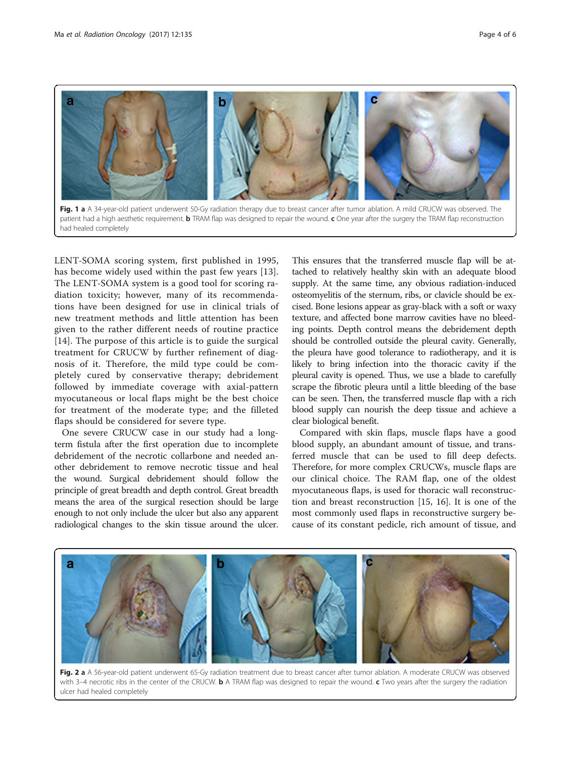<span id="page-3-0"></span>

patient had a high aesthetic requirement. **b** TRAM flap was designed to repair the wound. c One year after the surgery the TRAM flap reconstruction had healed completely

LENT-SOMA scoring system, first published in 1995, has become widely used within the past few years [[13](#page-5-0)]. The LENT-SOMA system is a good tool for scoring radiation toxicity; however, many of its recommendations have been designed for use in clinical trials of new treatment methods and little attention has been given to the rather different needs of routine practice [[14](#page-5-0)]. The purpose of this article is to guide the surgical treatment for CRUCW by further refinement of diagnosis of it. Therefore, the mild type could be completely cured by conservative therapy; debridement followed by immediate coverage with axial-pattern myocutaneous or local flaps might be the best choice for treatment of the moderate type; and the filleted flaps should be considered for severe type.

One severe CRUCW case in our study had a longterm fistula after the first operation due to incomplete debridement of the necrotic collarbone and needed another debridement to remove necrotic tissue and heal the wound. Surgical debridement should follow the principle of great breadth and depth control. Great breadth means the area of the surgical resection should be large enough to not only include the ulcer but also any apparent radiological changes to the skin tissue around the ulcer.

This ensures that the transferred muscle flap will be attached to relatively healthy skin with an adequate blood supply. At the same time, any obvious radiation-induced osteomyelitis of the sternum, ribs, or clavicle should be excised. Bone lesions appear as gray-black with a soft or waxy texture, and affected bone marrow cavities have no bleeding points. Depth control means the debridement depth should be controlled outside the pleural cavity. Generally, the pleura have good tolerance to radiotherapy, and it is likely to bring infection into the thoracic cavity if the pleural cavity is opened. Thus, we use a blade to carefully scrape the fibrotic pleura until a little bleeding of the base can be seen. Then, the transferred muscle flap with a rich blood supply can nourish the deep tissue and achieve a clear biological benefit.

Compared with skin flaps, muscle flaps have a good blood supply, an abundant amount of tissue, and transferred muscle that can be used to fill deep defects. Therefore, for more complex CRUCWs, muscle flaps are our clinical choice. The RAM flap, one of the oldest myocutaneous flaps, is used for thoracic wall reconstruction and breast reconstruction [\[15](#page-5-0), [16\]](#page-5-0). It is one of the most commonly used flaps in reconstructive surgery because of its constant pedicle, rich amount of tissue, and



Fig. 2 a A 56-year-old patient underwent 65-Gy radiation treatment due to breast cancer after tumor ablation. A moderate CRUCW was observed with 3-4 necrotic ribs in the center of the CRUCW. **b** A TRAM flap was designed to repair the wound. c Two years after the surgery the radiation ulcer had healed completely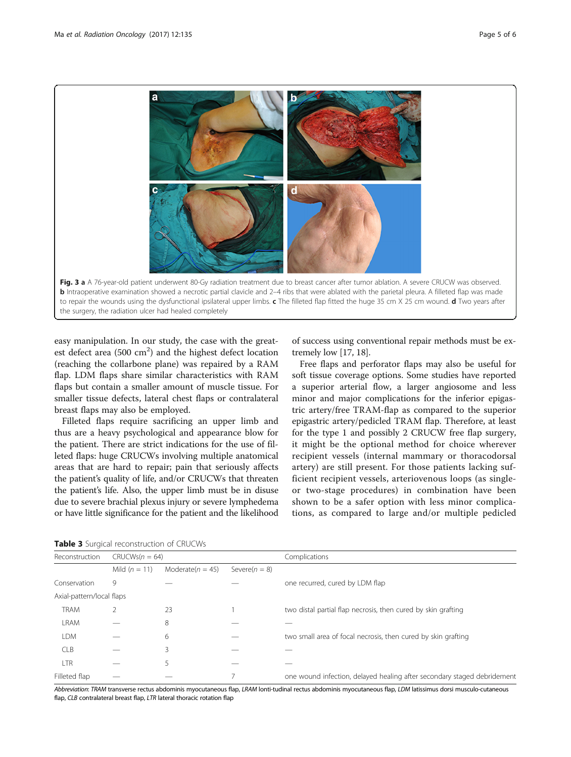<span id="page-4-0"></span>

easy manipulation. In our study, the case with the greatest defect area (500  $\text{cm}^2$ ) and the highest defect location (reaching the collarbone plane) was repaired by a RAM flap. LDM flaps share similar characteristics with RAM flaps but contain a smaller amount of muscle tissue. For smaller tissue defects, lateral chest flaps or contralateral breast flaps may also be employed.

Filleted flaps require sacrificing an upper limb and thus are a heavy psychological and appearance blow for the patient. There are strict indications for the use of filleted flaps: huge CRUCWs involving multiple anatomical areas that are hard to repair; pain that seriously affects the patient's quality of life, and/or CRUCWs that threaten the patient's life. Also, the upper limb must be in disuse due to severe brachial plexus injury or severe lymphedema or have little significance for the patient and the likelihood

of success using conventional repair methods must be extremely low [[17](#page-5-0), [18](#page-5-0)].

Free flaps and perforator flaps may also be useful for soft tissue coverage options. Some studies have reported a superior arterial flow, a larger angiosome and less minor and major complications for the inferior epigastric artery/free TRAM-flap as compared to the superior epigastric artery/pedicled TRAM flap. Therefore, at least for the type 1 and possibly 2 CRUCW free flap surgery, it might be the optional method for choice wherever recipient vessels (internal mammary or thoracodorsal artery) are still present. For those patients lacking sufficient recipient vessels, arteriovenous loops (as singleor two-stage procedures) in combination have been shown to be a safer option with less minor complications, as compared to large and/or multiple pedicled

| Reconstruction            | $CRUCWs(n = 64)$ |                      |                   | Complications                                                           |  |
|---------------------------|------------------|----------------------|-------------------|-------------------------------------------------------------------------|--|
|                           | Mild $(n = 11)$  | Moderate( $n = 45$ ) | Severe( $n = 8$ ) |                                                                         |  |
| Conservation              | 9                |                      |                   | one recurred, cured by LDM flap                                         |  |
| Axial-pattern/local flaps |                  |                      |                   |                                                                         |  |
| <b>TRAM</b>               |                  | 23                   |                   | two distal partial flap necrosis, then cured by skin grafting           |  |
| <b>LRAM</b>               |                  | 8                    |                   |                                                                         |  |
| <b>LDM</b>                |                  | 6                    |                   | two small area of focal necrosis, then cured by skin grafting           |  |
| <b>CLB</b>                |                  | 3                    |                   |                                                                         |  |
| <b>LTR</b>                |                  | 5                    |                   |                                                                         |  |
| Filleted flap             |                  |                      |                   | one wound infection, delayed healing after secondary staged debridement |  |

Table 3 Surgical reconstruction of CRUCWs

Abbreviation: TRAM transverse rectus abdominis myocutaneous flap, LRAM lonti-tudinal rectus abdominis myocutaneous flap, LDM latissimus dorsi musculo-cutaneous flap, CLB contralateral breast flap, LTR lateral thoracic rotation flap